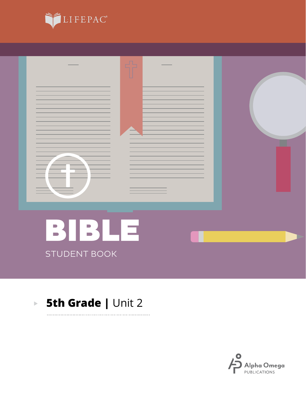



. . . . . . . . . . .

#### **5th Grade | Unit 2**  $\mathbf{E}^{(1)}$

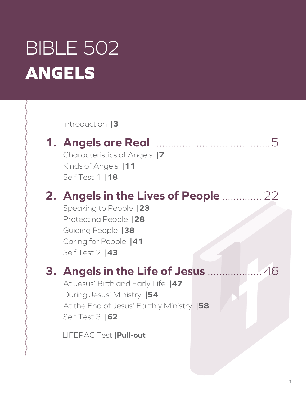# BIBLE 502 **ANGELS**

Introduction **|3**

## **1. Angels are Real**..........................................5

Characteristics of Angels **|7** Kinds of Angels **|11** Self Test 1 **|18**

## **2. Angels in the Lives of People** ..............22

Speaking to People **|23** Protecting People **|28** Guiding People **|38** Caring for People **|41** Self Test 2 **|43**

## **3. Angels in the Life of Jesus** ...................46

At Jesus' Birth and Early Life **|47** During Jesus' Ministry **|54** At the End of Jesus' Earthly Ministry **|58** Self Test 3 **|62**

LIFEPAC Test **|Pull-out**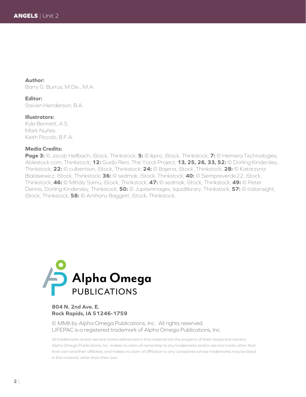**Author:** Barry G. Burrus, M.Div., M.A.

**Editor:**

Steven Henderson, B.A.

**Illustrators:**

Kyle Bennett, A.S. Mark Nuñes Keith Piccolo, B.F.A.

#### **Media Credits:**

**Page 3:** © Jacob Hellbach, iStock, Thinkstock; **5:** © ikpro, iStock, Thinkstock; **7:** © Hemera Technologies, Ablestock.com, Thinkstock; **12:** Guido Reni, The Yorck Project; **13, 25, 26, 33, 52:** © Dorling Kindersley, Thinkstock; **22:** © culbertson, iStock, Thinkstock; **24:** © Bajena, iStock ,Thinkstock; **28:** © Katarzyna Bialasiewicz, iStock, Thinkstock; **36:** © sedmak, iStock, Thinkstock; **40:** © Siempreverde22, iStock, Thinkstock; **46:** © Mihály Samu, iStock, Thinkstock; **47:** © sedmak, iStock, Thinkstock; **49:** © Peter Dennis, Dorling Kindersley, Thinkstock; **50:** © Jupiterimages, liquidlibrary, Thinkstock; **57:** © italiansight, iStock, Thinkstock; **58:** © Anthony Baggett, iStock, Thinkstock.



#### **804 N. 2nd Ave. E. Rock Rapids, IA 51246-1759**

© MMII by Alpha Omega Publications, Inc. All rights reserved. LIFEPAC is a registered trademark of Alpha Omega Publications, Inc.

All trademarks and/or service marks referenced in this material are the property of their respective owners. Alpha Omega Publications, Inc. makes no claim of ownership to any trademarks and/or service marks other than their own and their affiliates, and makes no claim of affiliation to any companies whose trademarks may be listed in this material, other than their own.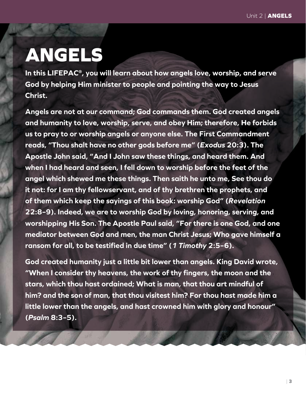## **ANGELS**

**In this LIFEPAC®, you will learn about how angels love, worship, and serve God by helping Him minister to people and pointing the way to Jesus Christ.**

**Angels are not at our command; God commands them. God created angels and humanity to love, worship, serve, and obey Him; therefore, He forbids us to pray to or worship angels or anyone else. The First Commandment reads, "Thou shalt have no other gods before me" (***Exodus* **20:3). The Apostle John said, "And I John saw these things, and heard them. And when I had heard and seen, I fell down to worship before the feet of the angel which shewed me these things. Then saith he unto me, See thou do it not: for I am thy fellowservant, and of thy brethren the prophets, and of them which keep the sayings of this book: worship God" (***Revelation* **22:8–9). Indeed, we are to worship God by loving, honoring, serving, and worshipping His Son. The Apostle Paul said, "For there is one God, and one mediator between God and men, the man Christ Jesus; Who gave himself a ransom for all, to be testified in due time" (***1 Timothy* **2:5–6).**

**God created humanity just a little bit lower than angels. King David wrote, "When I consider thy heavens, the work of thy fingers, the moon and the stars, which thou hast ordained; What is man, that thou art mindful of him? and the son of man, that thou visitest him? For thou hast made him a little lower than the angels, and hast crowned him with glory and honour" (***Psalm* **8:3–5).**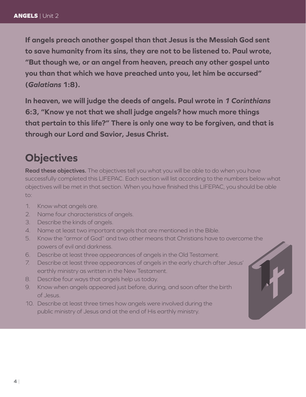**If angels preach another gospel than that Jesus is the Messiah God sent to save humanity from its sins, they are not to be listened to. Paul wrote, "But though we, or an angel from heaven, preach any other gospel unto you than that which we have preached unto you, let him be accursed" (***Galatians* **1:8).**

**In heaven, we will judge the deeds of angels. Paul wrote in** *1 Corinthians*  **6:3, "Know ye not that we shall judge angels? how much more things that pertain to this life?" There is only one way to be forgiven, and that is through our Lord and Savior, Jesus Christ.**

#### **Objectives**

**Read these objectives.** The objectives tell you what you will be able to do when you have successfully completed this LIFEPAC. Each section will list according to the numbers below what objectives will be met in that section. When you have finished this LIFEPAC, you should be able to:

- 1. Know what angels are.
- 2. Name four characteristics of angels.
- 3. Describe the kinds of angels.
- 4. Name at least two important angels that are mentioned in the Bible.
- 5. Know the "armor of God" and two other means that Christians have to overcome the powers of evil and darkness.
- 6. Describe at least three appearances of angels in the Old Testament.
- 7. Describe at least three appearances of angels in the early church after Jesus' earthly ministry as written in the New Testament.
- 8. Describe four ways that angels help us today.
- 9. Know when angels appeared just before, during, and soon after the birth of Jesus.
- 10. Describe at least three times how angels were involved during the public ministry of Jesus and at the end of His earthly ministry.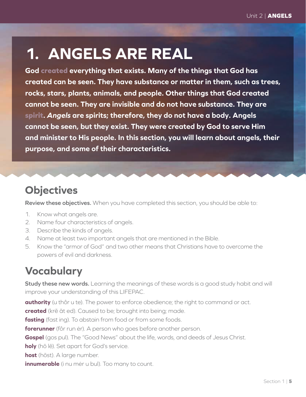## **1. ANGELS ARE REAL**

**God created everything that exists. Many of the things that God has created can be seen. They have substance or matter in them, such as trees, rocks, stars, plants, animals, and people. Other things that God created cannot be seen. They are invisible and do not have substance. They are spirit.** *Angels* **are spirits; therefore, they do not have a body. Angels cannot be seen, but they exist. They were created by God to serve Him and minister to His people. In this section, you will learn about angels, their purpose, and some of their characteristics.**

### **Objectives**

**Review these objectives.** When you have completed this section, you should be able to:

- 1. Know what angels are.
- 2. Name four characteristics of angels.
- 3. Describe the kinds of angels.
- 4. Name at least two important angels that are mentioned in the Bible.
- 5. Know the "armor of God" and two other means that Christians have to overcome the powers of evil and darkness.

## **Vocabulary**

**Study these new words.** Learning the meanings of these words is a good study habit and will improve your understanding of this LIFEPAC.

**authority** (u thôr u te). The power to enforce obedience; the right to command or act.

**created** (krē āt ed). Caused to be; brought into being; made.

**fasting** (fast ing). To abstain from food or from some foods.

**forerunner** (fôr run ėr). A person who goes before another person.

**Gospel** (gos pul). The "Good News" about the life, words, and deeds of Jesus Christ.

**holy** (hō lē). Set apart for God's service.

**host** (hōst). A large number.

**innumerable** (i nu mėr u bul). Too many to count.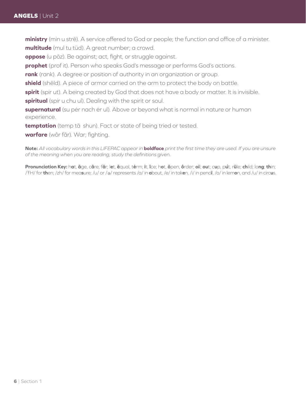**ministry** (min u strē). A service offered to God or people; the function and office of a minister. **multitude** (mul tu tüd). A great number; a crowd.

**oppose** (u pōz). Be against; act, fight, or struggle against.

**prophet** (prof it). Person who speaks God's message or performs God's actions.

**rank** (rank). A degree or position of authority in an organization or group.

**shield** (shēld). A piece of armor carried on the arm to protect the body on battle.

**spirit** (spir ut). A being created by God that does not have a body or matter. It is invisible.

**spiritual** (spir u chu ul). Dealing with the spirit or soul.

**supernatural** (su pėr nach ėr ul). Above or beyond what is normal in nature or human experience.

**temptation** (temp tā shun). Fact or state of being tried or tested.

**warfare** (wôr fãr). War; fighting.

**Note:** *All vocabulary words in this LIFEPAC appear in* **boldface** *print the first time they are used. If you are unsure of the meaning when you are reading, study the definitions given.*

Pronunciation Key: hat, āge, cãre, fär; let, ēqual, tėrm; it, īce; hot, ōpen, ôrder; oil; out; cup, put, rüle; child; long; thin; /ŦH/ for **th**en; /zh/ for mea**s**ure; /u/ or / <sup>e</sup> / represents /a/ in **a**bout, /e/ in tak**e**n, /i/ in penc**i**l, /o/ in lem**o**n, and /u/ in circ**u**s.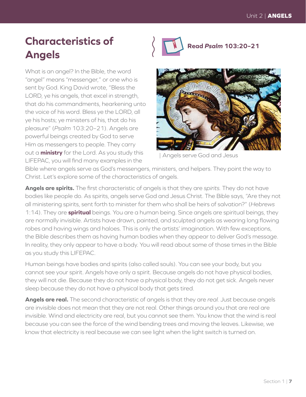## **Characteristics of Angels**

What is an angel? In the Bible, the word "angel" means "messenger," or one who is sent by God. King David wrote, "Bless the LORD, ye his angels, that excel in strength, that do his commandments, hearkening unto the voice of his word. Bless ye the LORD, all ye his hosts; ye ministers of his, that do his pleasure" (*Psalm* 103:20–21). Angels are powerful beings created by God to serve Him as messengers to people. They carry out a **ministry** for the Lord. As you study this LIFEPAC, you will find many examples in the



**Read** *Psalm* **103:20–21**



| Angels serve God and Jesus

Bible where angels serve as God's messengers, ministers, and helpers. They point the way to Christ. Let's explore some of the characteristics of angels.

**Angels are spirits.** The first characteristic of angels is that they are *spirits.* They do not have bodies like people do. As spirits, angels serve God and Jesus Christ. The Bible says, "Are they not all ministering spirits, sent forth to minister for them who shall be heirs of salvation?" (*Hebrews* 1:14). They are **spiritual** beings. You are a human being. Since angels are spiritual beings, they are normally invisible. Artists have drawn, painted, and sculpted angels as wearing long flowing robes and having wings and haloes. This is only the artists' imagination. With few exceptions, the Bible describes them as having human bodies when they appear to deliver God's message. In reality, they only appear to have a body. You will read about some of those times in the Bible as you study this LIFEPAC.

Human beings have bodies and spirits (also called souls). You can see your body, but you cannot see your spirit. Angels have only a spirit. Because angels do not have physical bodies, they will not die. Because they do not have a physical body, they do not get sick. Angels never sleep because they do not have a physical body that gets tired.

**Angels are real.** The second characteristic of angels is that they are *real.* Just because angels are invisible does not mean that they are not real. Other things around you that are real are invisible. Wind and electricity are real, but you cannot see them. You know that the wind is real because you can see the force of the wind bending trees and moving the leaves. Likewise, we know that electricity is real because we can see light when the light switch is turned on.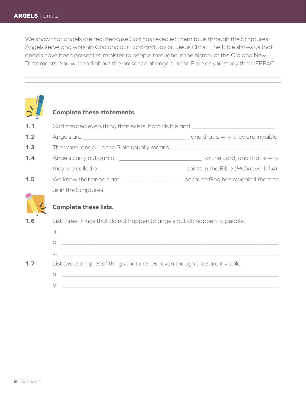We know that angels are real because God has revealed them to us through the Scriptures. Angels serve and worship God and our Lord and Savior, Jesus Christ. The Bible shows us that angels have been present to minister to people throughout the history of the Old and New Testaments. You will read about the presence of angels in the Bible as you study this LIFEPAC.

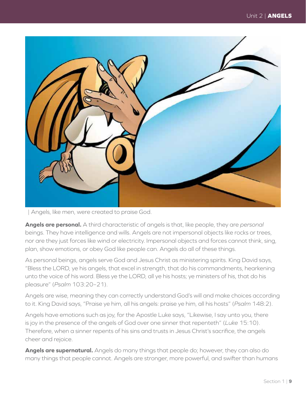

| Angels, like men, were created to praise God.

**Angels are personal.** A third characteristic of angels is that, like people, they are *personal* beings. They have intelligence and wills. Angels are not impersonal objects like rocks or trees, nor are they just forces like wind or electricity. Impersonal objects and forces cannot think, sing, plan, show emotions, or obey God like people can. Angels do all of these things.

As personal beings, angels serve God and Jesus Christ as ministering spirits. King David says, "Bless the LORD, ye his angels, that excel in strength, that do his commandments, hearkening unto the voice of his word. Bless ye the LORD, all ye his hosts; ye ministers of his, that do his pleasure" (*Psalm* 103:20–21).

Angels are wise, meaning they can correctly understand God's will and make choices according to it. King David says, "Praise ye him, all his angels: praise ye him, all his hosts" (*Psalm* 148:2).

Angels have emotions such as joy, for the Apostle Luke says, "Likewise, I say unto you, there is joy in the presence of the angels of God over one sinner that repenteth" (*Luke* 15:10). Therefore, when a sinner repents of his sins and trusts in Jesus Christ's sacrifice, the angels cheer and rejoice.

**Angels are supernatural.** Angels do many things that people do; however, they can also do many things that people cannot. Angels are stronger, more powerful, and swifter than humans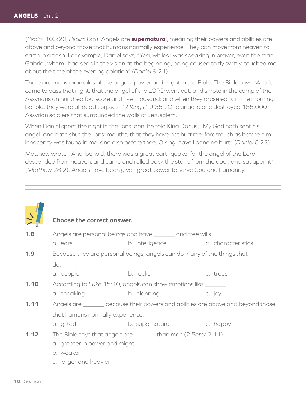(*Psalm* 103:20, *Psalm* 8:5). Angels are **supernatural**, meaning their powers and abilities are above and beyond those that humans normally experience. They can move from heaven to earth in a flash. For example, Daniel says, "Yea, whiles I was speaking in prayer, even the man Gabriel, whom I had seen in the vision at the beginning, being caused to fly swiftly, touched me about the time of the evening oblation" (*Daniel* 9:21).

There are many examples of the angels' power and might in the Bible. The Bible says, "And it came to pass that night, that the angel of the LORD went out, and smote in the camp of the Assyrians an hundred fourscore and five thousand: and when they arose early in the morning, behold, they were all dead corpses" (2 *Kings* 19:35). One angel alone destroyed 185,000 Assyrian soldiers that surrounded the walls of Jerusalem.

When Daniel spent the night in the lions' den, he told King Darius, "My God hath sent his angel, and hath shut the lions' mouths, that they have not hurt me: forasmuch as before him innocency was found in me; and also before thee, O king, have I done no hurt" (*Daniel* 6:22).

Matthew wrote, "And, behold, there was a great earthquake: for the angel of the Lord descended from heaven, and came and rolled back the stone from the door, and sat upon it" (*Matthew* 28:2). Angels have been given great power to serve God and humanity.

#### **Choose the correct answer. 1.8** • Angels are personal beings and have <u>equal</u> and free wills. a. ears b. intelligence c. characteristics **1.9** Because they are personal beings, angels can do many of the things that do. a. people b. rocks c. trees **1.10** According to *Luke* 15:10, angels can show emotions like \_\_\_\_\_\_\_ . a. speaking b. planning b. c. joy **1.11** Angels are <u>equal</u> because their powers and abilities are above and beyond those that humans normally experience. a. gifted b. supernatural c. happy **1.12** The Bible says that angels are \_\_\_\_\_\_\_ than men (2 *Peter* 2:11). a. greater in power and might b. weaker c. larger and heavier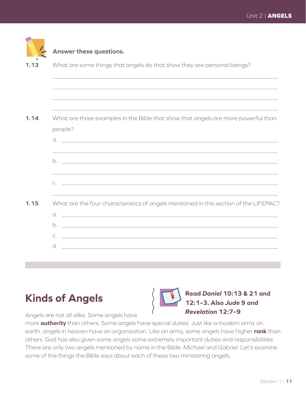|      | Answer these questions.                                                                      |
|------|----------------------------------------------------------------------------------------------|
| 1.13 | What are some things that angels do that show they are personal beings?                      |
|      |                                                                                              |
|      |                                                                                              |
|      |                                                                                              |
| 1.14 | What are three examples in the Bible that show that angels are more powerful than<br>people? |
|      | $\alpha$ . $\qquad \qquad$                                                                   |
|      |                                                                                              |
|      | ,我们也不能会在这里,我们也不能会在这里,我们也不能会在这里,我们也不能会在这里,我们也不能会在这里,我们也不能会在这里,我们也不能会不能会不能会。""我们,我             |
| 1.15 | What are the four characteristics of angels mentioned in this section of the LIFEPAC?        |
|      |                                                                                              |
|      |                                                                                              |
|      |                                                                                              |
|      |                                                                                              |

### **Kinds of Angels**



**Read** *Daniel* **10:13 & 21 and 12:1–3. Also** *Jude* **9 and**  *Revelation* **12:7–9**

Angels are not all alike. Some angels have

more **authority** than others. Some angels have special duties. Just like a modern army on earth, angels in heaven have an organization. Like an army, some angels have higher **rank** than others. God has also given some angels some extremely important duties and responsibilities. There are only two angels mentioned by name in the Bible: *Michael* and *Gabriel.* Let's examine some of the things the Bible says about each of these two ministering angels.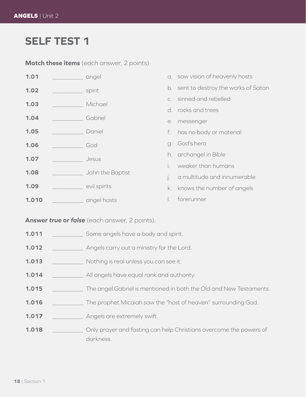#### **SELF TEST 1**

**Match these items** (each answer, 2 points).

| 1.01  | angel            |                | a. saw vision of heavenly hosts       |
|-------|------------------|----------------|---------------------------------------|
| 1.02  | spirit           |                | b. sent to destroy the works of Satan |
| 1.03  | Michael          | $\mathsf{C}$   | sinned and rebelled                   |
|       |                  |                | d. rocks and trees                    |
| 1.04  | Gabriel          | e.             | messenger                             |
| 1.05  | Daniel           | f.             | has no body or material               |
| 1.06  | God              |                | g. God's hero                         |
| 1.07  | Jesus            |                | h. archangel in Bible                 |
|       |                  | i.             | weaker than humans                    |
| 1.08  | John the Baptist | $\mathbf{i}$ . | a multitude and innumerable           |
| 1.09  | evil spirits     | k.             | knows the number of angels            |
| 1.010 | angel hosts      |                | forerunner                            |

#### **Answer** *true* **or** *false* (each answer, 2 points).

- **1.011** \_\_\_\_\_\_\_\_\_\_ Some angels have a body and spirit.
- **1.012** \_\_\_\_\_\_\_\_\_\_ Angels carry out a ministry for the Lord.
- **1.013** \_\_\_\_\_\_\_\_\_\_ Nothing is real unless you can see it.
- **1.014** \_\_\_\_\_\_\_\_\_\_ All angels have equal rank and authority.
- **1.015** \_\_\_\_\_\_\_\_\_\_ The angel Gabriel is mentioned in both the Old and New Testaments.
- **1.016** \_\_\_\_\_\_\_\_\_\_ The prophet Micaiah saw the "host of heaven" surrounding God.
- **1.017** \_\_\_\_\_\_\_\_\_\_ Angels are extremely swift.
- **1.018 \_\_\_\_\_\_\_\_** Only prayer and fasting can help Christians overcome the powers of darkness.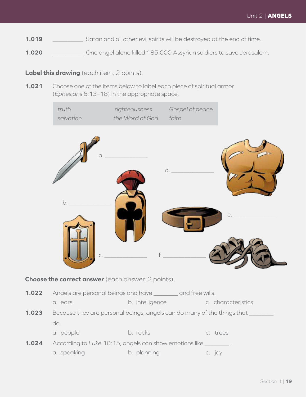- **1.019** \_\_\_\_\_\_\_\_\_\_ Satan and all other evil spirits will be destroyed at the end of time.
- **1.020** \_\_\_\_\_\_\_\_\_\_ One angel alone killed 185,000 Assyrian soldiers to save Jerusalem.

#### **Label this drawing** (each item, 2 points).

**1.021** Choose one of the items below to label each piece of spiritual armor (*Ephesians* 6:13–18) in the appropriate space.

|       | truth<br>salvation                                                        | righteousness<br>the Word of God | Gospel of peace<br>faith |                    |
|-------|---------------------------------------------------------------------------|----------------------------------|--------------------------|--------------------|
|       | a.<br>b.                                                                  |                                  | d.                       | е.                 |
|       | Choose the correct answer (each answer, 2 points).                        |                                  |                          |                    |
| 1.022 | Angels are personal beings and have ________ and free wills.              |                                  |                          |                    |
|       | a. ears                                                                   | b. intelligence                  |                          | c. characteristics |
| 1.023 | Because they are personal beings, angels can do many of the things that _ |                                  |                          |                    |
|       | do.                                                                       |                                  |                          |                    |
|       | a. people                                                                 | b. rocks                         | c. trees                 |                    |

| 1.024 | According to Luke 10:15, angels can show emotions like |  |             |  |          |  |  |
|-------|--------------------------------------------------------|--|-------------|--|----------|--|--|
|       | a. speaking                                            |  | b. planning |  | $C.$ IOV |  |  |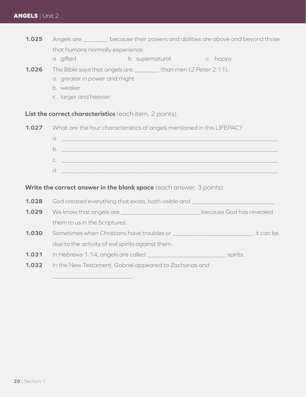- **1.025** Angels are <u>equal because their powers and abilities are above and beyond those</u> that humans normally experience.
	- a. gifted b. supernatural c. happy
- **1.026** The Bible says that angels are \_\_\_\_\_\_\_\_ than men (2 *Peter* 2:11).
	- a. greater in power and might

\_\_\_\_\_\_\_\_\_\_\_\_\_\_\_\_\_\_\_\_\_\_\_\_\_\_ .

- b. weaker
- c. larger and heavier

**List the correct characteristics** (each item, 2 points).

**1.027** What are the four characteristics of angels mentioned in this LIFEPAC?



#### **Write the correct answer in the blank space** (each answer, 3 points).

**1.028** God created everything that exists, both visible and \_\_\_\_\_\_\_\_\_\_\_\_\_\_\_\_\_\_\_\_ **1.029** We know that angels are \_\_\_\_\_\_\_\_\_\_\_\_\_\_\_\_\_\_\_\_\_\_\_\_\_\_ because God has revealed them to us in the Scriptures. **1.030** Sometimes when Christians have troubles or \_\_\_\_\_\_\_\_\_\_\_\_\_\_\_\_\_\_\_\_\_\_\_\_\_\_ , it can be due to the activity of evil spirits against them. **1.031** In *Hebrews* 1:14, angels are called \_\_\_\_\_\_\_\_\_\_\_\_\_\_\_\_\_\_\_\_\_\_\_\_\_\_ spirits. **1.032** In the New Testament, Gabriel appeared to Zacharias and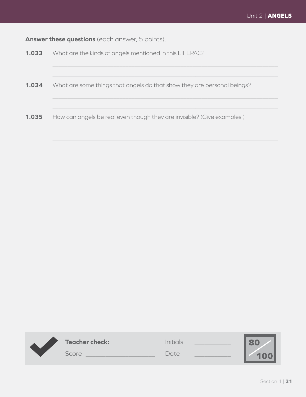**Answer these questions** (each answer, 5 points).

| 1.033 | What are the kinds of angels mentioned in this LIFEPAC?                 |  |  |  |
|-------|-------------------------------------------------------------------------|--|--|--|
|       |                                                                         |  |  |  |
| 1.034 | What are some things that angels do that show they are personal beings? |  |  |  |
|       |                                                                         |  |  |  |
| 1.035 | How can angels be real even though they are invisible? (Give examples.) |  |  |  |
|       |                                                                         |  |  |  |

 $\_$  , and the set of the set of the set of the set of the set of the set of the set of the set of the set of the set of the set of the set of the set of the set of the set of the set of the set of the set of the set of th

| <b>Teacher check:</b> | Initials |  |
|-----------------------|----------|--|
| Score                 | Date     |  |